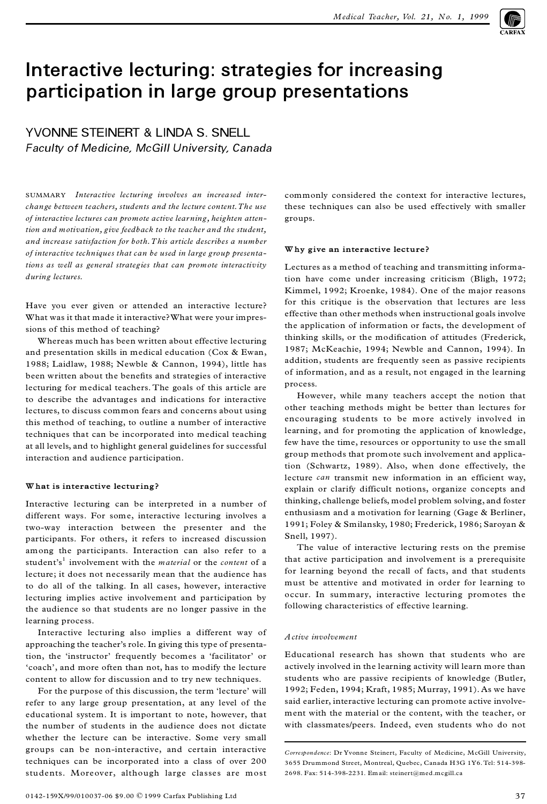

# **Interactive lecturing: strategies for increasing participation in large group presentations**

## YVONNE STEINERT & LINDA S. SNELL *Faculty of Medicine, McGill University, Canada*

SUMMARY *Interactive lecturing involves an increased interchange between teachers, students and the lecture content.The use of interactive lectures can promote active learning, heighten attention and motivation, give feedback to the teacher and the student, and increase satisfaction for both.This article describes a number of interactive techniques that can be used in large group presentations as well as general strategies that can promote interactivity during lectures.*

Have you ever given or attended an interactive lecture? What was it that made it interactive?What were your impressions of this method of teaching?

Whereas much has been written about effective lecturing and presentation skills in medical education (Cox & Ewan, 1988; Laidlaw, 1988; Newble & Cannon, 1994), little has been written about the benefits and strategies of interactive lecturing for medical teachers. The goals of this article are to describe the advantages and indications for interactive lectures, to discuss common fears and concerns about using this method of teaching, to outline a number of interactive techniques that can be incorporated into medical teaching at all levels, and to highlight general guidelines for successful interaction and audience participation.

## **What is interactive lecturing?**

Interactive lecturing can be interpreted in a number of different ways. For some, interactive lecturing involves a two-way interaction between the presenter and the participants. For others, it refers to increased discussion among the participants. Interaction can also refer to a student's 1 involvement with the *material* or the *content* of a lecture; it does not necessarily mean that the audience has to do all of the talking. In all cases, however, interactive lecturing implies active involvement and participation by the audience so that students are no longer passive in the learning process.

Interactive lecturing also implies a different way of approaching the teacher's role. In giving this type of presentation, the 'instructor' frequently becomes a 'facilitator' or 'coach', and more often than not, has to modify the lecture content to allow for discussion and to try new techniques.

For the purpose of this discussion, the term 'lecture' will refer to any large group presentation, at any level of the educational system. It is important to note, however, that the number of students in the audience does not dictate whether the lecture can be interactive. Some very small groups can be non-interactive, and certain interactive techniques can be incorporated into a class of over 200 students. Moreover, although large classes are most commonly considered the context for interactive lectures, these techniques can also be used effectively with smaller groups.

## **Why give an interactive lecture?**

Lectures as a method of teaching and transmitting information have come under increasing criticism (Bligh, 1972; Kimmel, 1992; Kroenke, 1984). One of the major reasons for this critique is the observation that lectures are less effective than other methods when instructional goals involve the application of information or facts, the development of thinking skills, or the modification of attitudes (Frederick, 1987; McKeachie, 1994; Newble and Cannon, 1994). In addition, students are frequently seen as passive recipients of information, and as a result, not engaged in the learning process.

However, while many teachers accept the notion that other teaching methods might be better than lectures for encouraging students to be more actively involved in learning, and for promoting the application of knowledge, few have the time, resources or opportunity to use the small group methods that promote such involvement and application (Schwartz, 1989). Also, when done effectively, the lecture *can* transmit new information in an efficient way, explain or clarify difficult notions, organize concepts and thinking, challenge beliefs, model problem solving, and foster enthusiasm and a motivation for learning (Gage & Berliner, 1991; Foley & Smilansky, 1980; Frederick, 1986; Saroyan & Snell, 1997).

The value of interactive lecturing rests on the premise that active participation and involvement is a prerequisite for learning beyond the recall of facts, and that students must be attentive and motivated in order for learning to occur. In summary, interactive lecturing promotes the following characteristics of effective learning.

## *Active involvement*

Educational research has shown that students who are actively involved in the learning activity will learn more than students who are passive recipients of knowledge (Butler, 1992; Feden, 1994; Kraft, 1985; Murray, 1991). As we have said earlier, interactive lecturing can promote active involve ment with the material or the content, with the teacher, or with classmates/peers. Indeed, even students who do not

*Correspondence*: Dr Yvonne Steinert, Faculty of Medicine, McGill University, 3655 Drummond Street, Montreal, Quebec, Canada H3G 1Y6. Tel: 514-398- 2698. Fax: 514-398-2231. Em ail: steinert@med.mcgill.ca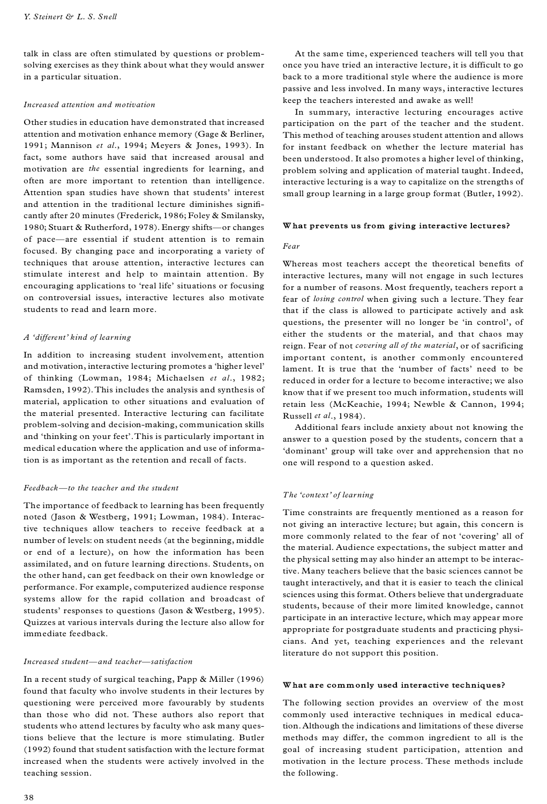talk in class are often stimulated by questions or problemsolving exercises as they think about what they would answer in a particular situation.

## *Increased attention and motivation*

Other studies in education have demonstrated that increased attention and motivation enhance memory (Gage & Berliner, 1991; Mannison *et al*., 1994; Meyers & Jones, 1993). In fact, some authors have said that increased arousal and motivation are *the* essential ingredients for learning, and often are more important to retention than intelligence. Attention span studies have shown that students' interest and attention in the traditional lecture diminishes significantly after 20 minutes (Frederick, 1986; Foley & Smilansky, 1980; Stuart & Rutherford, 1978). Energy shifts—or changes of pace—are essential if student attention is to remain focused. By changing pace and incorporating a variety of techniques that arouse attention, interactive lectures can stimulate interest and help to maintain attention. By encouraging applications to 'real life' situations or focusing on controversial issues, interactive lectures also motivate students to read and learn more.

## *A `different' kind of learning*

In addition to increasing student involvement, attention and motivation, interactive lecturing promotes a 'higher level' of thinking (Lowman, 1984; Michaelsen *et al*., 1982; Ramsden, 1992).This includes the analysis and synthesis of material, application to other situations and evaluation of the material presented. Interactive lecturing can facilitate problem-solving and decision-making, communication skills and 'thinking on your feet'. This is particularly important in medical education where the application and use of information is as important as the retention and recall of facts.

## *FeedbackÐto the teacher and the student*

The importance of feedback to learning has been frequently noted (Jason & Westberg, 1991; Lowman, 1984). Interactive techniques allow teachers to receive feedback at a number of levels: on student needs (at the beginning, middle or end of a lecture), on how the information has been assimilated, and on future learning directions. Students, on the other hand, can get feedback on their own knowledge or performance. For example, computerized audience response systems allow for the rapid collation and broadcast of students' responses to questions (Jason & Westberg, 1995). Quizzes at various intervals during the lecture also allow for immediate feedback.

## *Increased student*—and *teacher*—satisfaction

In a recent study of surgical teaching, Papp & Miller (1996) found that faculty who involve students in their lectures by questioning were perceived more favourably by students than those who did not. These authors also report that students who attend lectures by faculty who ask many questions believe that the lecture is more stimulating. Butler (1992) found that student satisfaction with the lecture format increased when the students were actively involved in the teaching session.

38

At the same time, experienced teachers will tell you that once you have tried an interactive lecture, it is difficult to go back to a more traditional style where the audience is more passive and less involved. In many ways, interactive lectures keep the teachers interested and awake as well!

In summary, interactive lecturing encourages active participation on the part of the teacher and the student. This method of teaching arouses student attention and allows for instant feedback on whether the lecture material has been understood. It also promotes a higher level of thinking, problem solving and application of material taught. Indeed, interactive lecturing is a way to capitalize on the strengths of small group learning in a large group format (Butler, 1992).

#### **What prevents us from giving interactive lectures?**

#### *Fear*

Whereas most teachers accept the theoretical benefits of interactive lectures, many will not engage in such lectures for a number of reasons. Most frequently, teachers report a fear of *losing control* when giving such a lecture. They fear that if the class is allowed to participate actively and ask questions, the presenter will no longer be `in control', of either the students or the material, and that chaos may reign. Fear of not *covering all of the material*, or of sacrificing important content, is another commonly encountered lament. It is true that the `number of facts' need to be reduced in order for a lecture to become interactive; we also know that if we present too much information, students will retain less (McKeachie, 1994; Newble & Cannon, 1994; Russell *et al*., 1984).

Additional fears include anxiety about not knowing the answer to a question posed by the students, concern that a `dominant' group will take over and apprehension that no one will respond to a question asked.

#### *The `context' of learning*

Time constraints are frequently mentioned as a reason for not giving an interactive lecture; but again, this concern is more commonly related to the fear of not 'covering' all of the material. Audience expectations, the subject matter and the physical setting may also hinder an attempt to be interactive. Many teachers believe that the basic sciences cannot be taught interactively, and that it is easier to teach the clinical sciences using this format. Others believe that undergraduate students, because of their more limited knowledge, cannot participate in an interactive lecture, which may appear more appropriate for postgraduate students and practicing physi cians. And yet, teaching experiences and the relevant literature do not support this position.

#### **What are commonly used interactive techniques?**

The following section provides an overview of the most commonly used interactive techniques in medical education. Although the indications and limitations of these diverse methods may differ, the common ingredient to all is the goal of increasing student participation, attention and motivation in the lecture process. These methods include the following.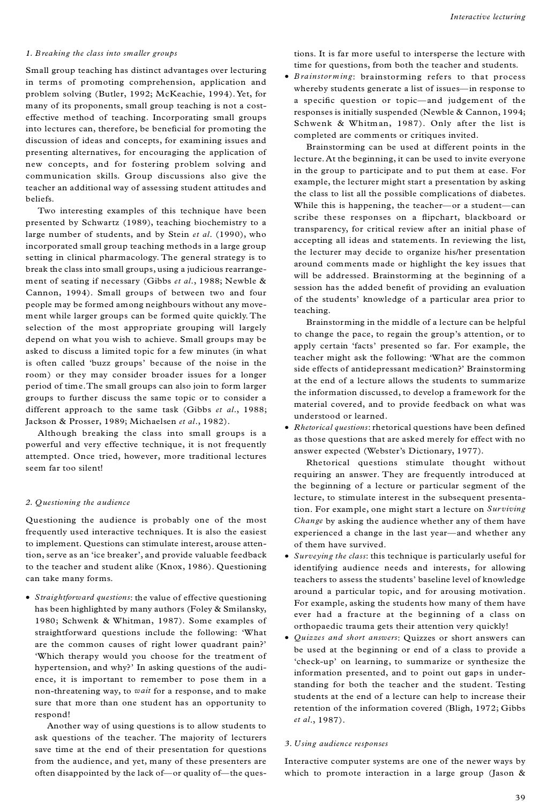## *1. B reaking the class into smaller groups*

Small group teaching has distinct advantages over lecturing in terms of promoting comprehension, application and problem solving (Butler, 1992; McKeachie, 1994). Yet, for many of its proponents, small group teaching is not a cost effective method of teaching. Incorporating small groups into lectures can, therefore, be beneficial for promoting the discussion of ideas and concepts, for examining issues and presenting alternatives, for encouraging the application of new concepts, and for fostering problem solving and communication skills. Group discussions also give the teacher an additional way of assessing student attitudes and beliefs.

Two interesting examples of this technique have been presented by Schwartz (1989), teaching biochemistry to a large number of students, and by Stein *et al*. (1990), who incorporated small group teaching methods in a large group setting in clinical pharmacology. The general strategy is to break the class into small groups, using a judicious rearrange ment of seating if necessary (Gibbs *et al*., 1988; Newble & Cannon, 1994). Small groups of between two and four people may be formed among neighbours without any move ment while larger groups can be formed quite quickly. The selection of the most appropriate grouping will largely depend on what you wish to achieve. Small groups may be asked to discuss a limited topic for a few minutes (in what is often called `buzz groups' because of the noise in the room) or they may consider broader issues for a longer period of time.The small groups can also join to form larger groups to further discuss the same topic or to consider a different approach to the same task (Gibbs *et al*., 1988; Jackson & Prosser, 1989; Michaelsen *et al*., 1982).

Although breaking the class into small groups is a powerful and very effective technique, it is not frequently attempted. Once tried, however, more traditional lectures seem far too silent!

#### *2. Questioning the audience*

Questioning the audience is probably one of the most frequently used interactive techniques. It is also the easiest to implement. Questions can stimulate interest, arouse attention, serve as an `ice breaker', and provide valuable feedback to the teacher and student alike (Knox, 1986). Questioning can take many forms.

· *Straightforward questions*: the value of effective questioning has been highlighted by many authors (Foley & Smilansky, 1980; Schwenk & Whitman, 1987). Some examples of straightforward questions include the following: `What are the common causes of right lower quadrant pain?' `Which therapy would you choose for the treatment of hypertension, and why?' In asking questions of the audi ence, it is important to remember to pose them in a non-threatening way, to *wait* for a response, and to make sure that more than one student has an opportunity to respond!

Another way of using questions is to allow students to ask questions of the teacher. The majority of lecturers save time at the end of their presentation for questions from the audience, and yet, many of these presenters are often disappointed by the lack of-or quality of-the questions. It is far more useful to intersperse the lecture with time for questions, from both the teacher and students.

· *B rainstor ming*: brainstorming refers to that process whereby students generate a list of issues—in response to a specific question or topic—and judgement of the responses is initially suspended (Newble & Cannon, 1994; Schwenk & Whitm an, 1987). Only after the list is completed are comments or critiques invited.

Brainstorming can be used at different points in the lecture. At the beginning, it can be used to invite everyone in the group to participate and to put them at ease. For example, the lecturer might start a presentation by asking the class to list all the possible complications of diabetes. While this is happening, the teacher $-$ or a student $-c$ an scribe these responses on a flipchart, blackboard or transparency, for critical review after an initial phase of accepting all ideas and statements. In reviewing the list, the lecturer may decide to organize his/her presentation around comments made or highlight the key issues that will be addressed. Brainstorming at the beginning of a session has the added benefit of providing an evaluation of the students' knowledge of a particular area prior to teaching.

Brainstorming in the middle of a lecture can be helpful to change the pace, to regain the group's attention, or to apply certain 'facts' presented so far. For example, the teacher might ask the following: 'What are the common side effects of antidepressant medication?' Brainstorming at the end of a lecture allows the students to summarize the information discussed, to develop a framework for the material covered, and to provide feedback on what was understood or learned.

· *Rhetorical questions*: rhetorical questions have been defined as those questions that are asked merely for effect with no answer expected (Webster's Dictionary, 1977).

Rhetorical questions stimulate thought without requiring an answer. They are frequently introduced at the beginning of a lecture or particular segment of the lecture, to stimulate interest in the subsequent presentation. For example, one might start a lecture on *Sur viving Change* by asking the audience whether any of them have experienced a change in the last year—and whether any of them have survived.

- · *Surveying the class*: this technique is particularly useful for identifying audience needs and interests, for allowing teachers to assess the students' baseline level of knowledge around a particular topic, and for arousing motivation. For example, asking the students how many of them have ever had a fracture at the beginning of a class on orthopaedic trauma gets their attention very quickly!
- · *Quizzes and short answers*: Quizzes or short answers can be used at the beginning or end of a class to provide a `check-up' on learning, to summarize or synthesize the information presented, and to point out gaps in understanding for both the teacher and the student. Testing students at the end of a lecture can help to increase their retention of the information covered (Bligh, 1972; Gibbs *et al*., 1987).

#### *3. Using audience responses*

Interactive computer systems are one of the newer ways by which to promote interaction in a large group (Jason &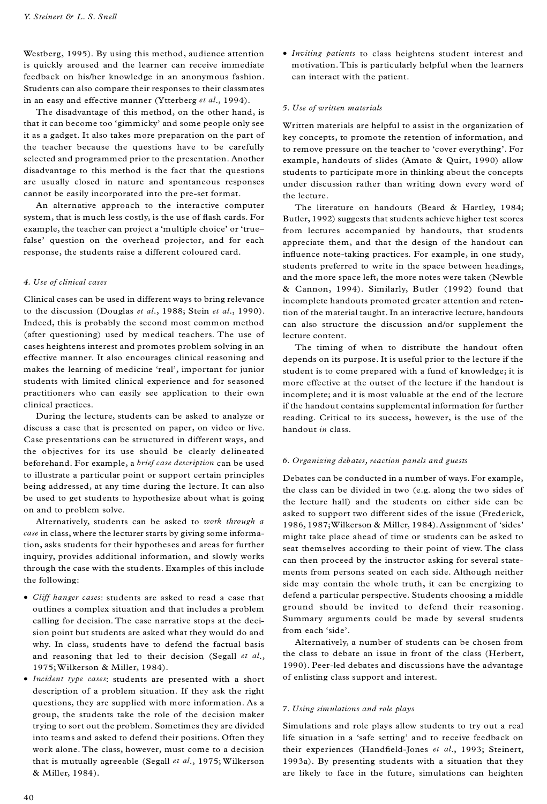Westberg, 1995). By using this method, audience attention is quickly aroused and the learner can receive immediate feedback on his/her knowledge in an anonymous fashion. Students can also compare their responses to their classmates in an easy and effective manner (Ytterberg *et al*., 1994).

The disadvantage of this method, on the other hand, is that it can become too 'gimmicky' and some people only see it as a gadget. It also takes more preparation on the part of the teacher because the questions have to be carefully selected and programmed prior to the presentation. Another disadvantage to this method is the fact that the questions are usually closed in nature and spontaneous responses cannot be easily incorporated into the pre-set format.

An alternative approach to the interactive computer system, that is much less costly, is the use of flash cards. For example, the teacher can project a 'multiple choice' or 'truefalse' question on the overhead projector, and for each response, the students raise a different coloured card.

#### *4. Use of clinical cases*

Clinical cases can be used in different ways to bring relevance to the discussion (Douglas *et al*., 1988; Stein *et al*., 1990). Indeed, this is probably the second most common method (after questioning) used by medical teachers. The use of cases heightens interest and promotes problem solving in an effective manner. It also encourages clinical reasoning and makes the learning of medicine 'real', important for junior students with limited clinical experience and for seasoned practitioners who can easily see application to their own clinical practices.

During the lecture, students can be asked to analyze or discuss a case that is presented on paper, on video or live. Case presentations can be structured in different ways, and the objectives for its use should be clearly delineated beforehand. For example, a *brief case description* can be used to illustrate a particular point or support certain principles being addressed, at any time during the lecture. It can also be used to get students to hypothesize about what is going on and to problem solve.

Alternatively, students can be asked to *work through a case* in class, where the lecturer starts by giving some information, asks students for their hypotheses and areas for further inquiry, provides additional information, and slowly works through the case with the students. Examples of this include the following:

- · *Cliff hanger cases*: students are asked to read a case that outlines a complex situation and that includes a problem calling for decision. The case narrative stops at the decision point but students are asked what they would do and why. In class, students have to defend the factual basis and reasoning that led to their decision (Segall *et al*., 1975;Wilkerson & Miller, 1984).
- · *Incident type cases*: students are presented with a short description of a problem situation. If they ask the right questions, they are supplied with more information. As a group, the students take the role of the decision maker trying to sort out the problem. Sometimes they are divided into teams and asked to defend their positions. Often they work alone. The class, however, must come to a decision that is mutually agreeable (Segall *et al*., 1975; Wilkerson & Miller, 1984).

· *Inviting patients* to class heightens student interest and motivation. This is particularly helpful when the learners can interact with the patient.

## *5. Use of written materials*

Written materials are helpful to assist in the organization of key concepts, to promote the retention of information, and to remove pressure on the teacher to 'cover everything'. For example, handouts of slides (Amato & Quirt, 1990) allow students to participate more in thinking about the concepts under discussion rather than writing down every word of the lecture.

The literature on handouts (Beard & Hartley, 1984; Butler, 1992) suggests that students achieve higher test scores from lectures accompanied by handouts, that students appreciate them, and that the design of the handout can influence note-taking practices. For example, in one study, students preferred to write in the space between headings, and the more space left, the more notes were taken (Newble & Cannon, 1994). Similarly, Butler (1992) found that incomplete handouts promoted greater attention and retention of the material taught. In an interactive lecture, handouts can also structure the discussion and/or supplement the lecture content.

The timing of when to distribute the handout often depends on its purpose. It is useful prior to the lecture if the student is to come prepared with a fund of knowledge; it is more effective at the outset of the lecture if the handout is incomplete; and it is most valuable at the end of the lecture if the handout contains supplemental information for further reading. Critical to its success, however, is the use of the handout *in* class.

#### *6. Organizing debates, reaction panels and guests*

Debates can be conducted in a number of ways. For example, the class can be divided in two (e.g. along the two sides of the lecture hall) and the students on either side can be asked to support two different sides of the issue (Frederick, 1986, 1987;Wilkerson & Miller, 1984). Assignment of `sides' might take place ahead of time or students can be asked to seat themselves according to their point of view. The class can then proceed by the instructor asking for several state ments from persons seated on each side. Although neither side may contain the whole truth, it can be energizing to defend a particular perspective. Students choosing a middle ground should be invited to defend their reasoning. Summary arguments could be made by several students from each 'side'.

Alternatively, a number of students can be chosen from the class to debate an issue in front of the class (Herbert, 1990). Peer-led debates and discussions have the advantage of enlisting class support and interest.

## *7. Using simulations and role plays*

Simulations and role plays allow students to try out a real life situation in a 'safe setting' and to receive feedback on their experiences (Hand®eld-Jones *et al*., 1993; Steinert, 1993a). By presenting students with a situation that they are likely to face in the future, simulations can heighten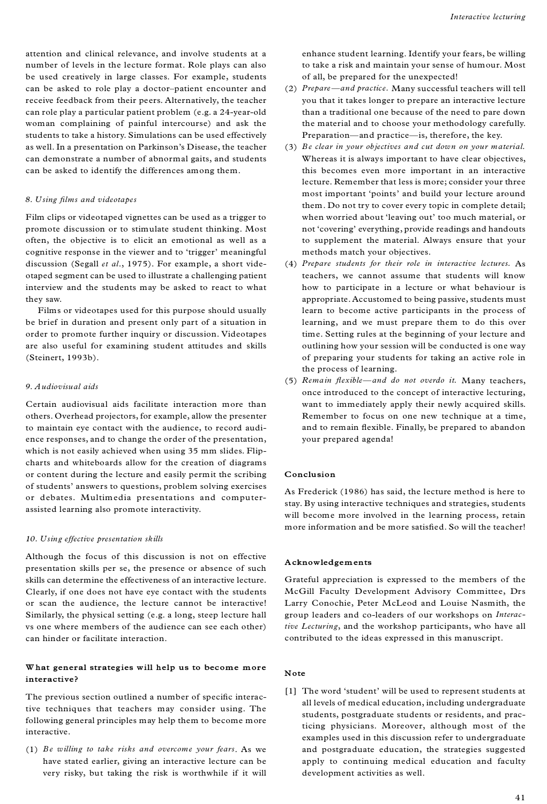attention and clinical relevance, and involve students at a number of levels in the lecture format. Role plays can also be used creatively in large classes. For example, students can be asked to role play a doctor-patient encounter and receive feedback from their peers. Alternatively, the teacher can role play a particular patient problem (e.g. a 24-year-old woman complaining of painful intercourse) and ask the students to take a history. Simulations can be used effectively as well. In a presentation on Parkinson's Disease, the teacher can demonstrate a number of abnormal gaits, and students can be asked to identify the differences among them.

#### *8. Using ®lms and videotapes*

Film clips or videotaped vignettes can be used as a trigger to promote discussion or to stimulate student thinking. Most often, the objective is to elicit an emotional as well as a cognitive response in the viewer and to 'trigger' meaningful discussion (Segall *et al*., 1975). For example, a short vide otaped segment can be used to illustrate a challenging patient interview and the students may be asked to react to what they saw.

Films or videotapes used for this purpose should usually be brief in duration and present only part of a situation in order to promote further inquiry or discussion. Videotapes are also useful for examining student attitudes and skills (Steinert, 1993b).

## *9. Audiovisual aids*

Certain audiovisual aids facilitate interaction more than others. Overhead projectors, for example, allow the presenter to maintain eye contact with the audience, to record audi ence responses, and to change the order of the presentation, which is not easily achieved when using 35 mm slides. Flip charts and whiteboards allow for the creation of diagrams or content during the lecture and easily permit the scribing of students' answers to questions, problem solving exercises or debates. Multimedia presentations and computer assisted learning also promote interactivity.

## *10. Using effective presentation skills*

Although the focus of this discussion is not on effective presentation skills per se, the presence or absence of such skills can determine the effectiveness of an interactive lecture. Clearly, if one does not have eye contact with the students or scan the audience, the lecture cannot be interactive! Similarly, the physical setting (e.g. a long, steep lecture hall vs one where members of the audience can see each other) can hinder or facilitate interaction.

## **What general strategies will help us to become more interactive?**

The previous section outlined a number of specific interactive techniques that teachers may consider using. The following general principles may help them to become more interactive.

(1) *B e willing to take risks and overcome your fears*. As we have stated earlier, giving an interactive lecture can be very risky, but taking the risk is worthwhile if it will enhance student learning. Identify your fears, be willing to take a risk and maintain your sense of humour. Most of all, be prepared for the unexpected!

- (2) Prepare—and practice. Many successful teachers will tell you that it takes longer to prepare an interactive lecture than a traditional one because of the need to pare down the material and to choose your methodology carefully. Preparation—and practice—is, therefore, the key.
- (3) *B e clear in your objectives and cut down on your material.* Whereas it is always important to have clear objectives, this becomes even more important in an interactive lecture. Remember that less is more; consider your three most important 'points' and build your lecture around them. Do not try to cover every topic in complete detail; when worried about 'leaving out' too much material, or not 'covering' everything, provide readings and handouts to supplement the material. Always ensure that your methods match your objectives.
- (4) *Prepare students for their role in interactive lectures.* As teachers, we cannot assume that students will know how to participate in a lecture or what behaviour is appropriate. Accustomed to being passive, students must learn to become active participants in the process of learning, and we must prepare them to do this over time. Setting rules at the beginning of your lecture and outlining how your session will be conducted is one way of preparing your students for taking an active role in the process of learning.
- (5) *Remain flexible—and do not overdo it.* Many teachers, once introduced to the concept of interactive lecturing, want to immediately apply their newly acquired skills. Remember to focus on one new technique at a time, and to remain flexible. Finally, be prepared to abandon your prepared agenda!

## **Conclusion**

As Frederick (1986) has said, the lecture method is here to stay. By using interactive techniques and strategies, students will become more involved in the learning process, retain more information and be more satisfied. So will the teacher!

## **Acknowledgements**

Grateful appreciation is expressed to the members of the McGill Faculty Development Advisory Committee, Drs Larry Conochie, Peter McLeod and Louise Nasmith, the group leaders and co-leaders of our workshops on *Interactive Lecturing*, and the workshop participants, who have all contributed to the ideas expressed in this manuscript.

## **Note**

[1] The word 'student' will be used to represent students at all levels of medical education, including undergraduate students, postgraduate students or residents, and practicing physicians. Moreover, although most of the examples used in this discussion refer to undergraduate and postgraduate education, the strategies suggested apply to continuing medical education and faculty development activities as well.